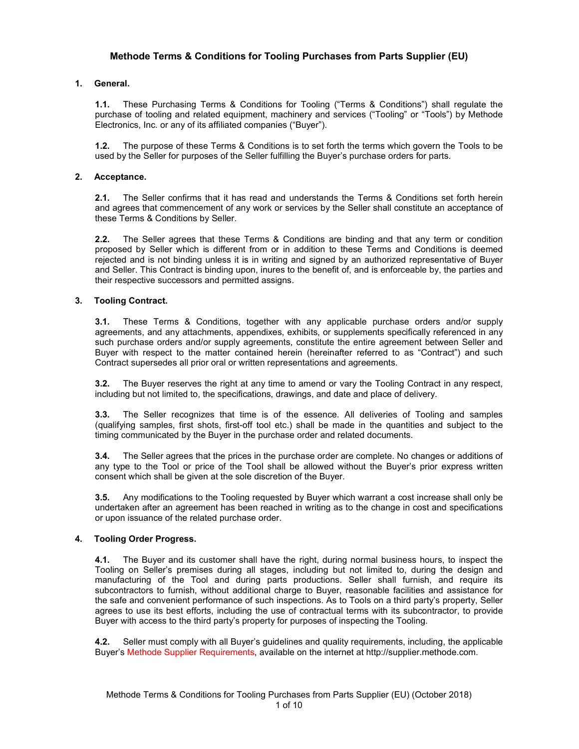# **Methode Terms & Conditions for Tooling Purchases from Parts Supplier (EU)**

## **1. General.**

**1.1.** These Purchasing Terms & Conditions for Tooling ("Terms & Conditions") shall regulate the purchase of tooling and related equipment, machinery and services ("Tooling" or "Tools") by Methode Electronics, Inc. or any of its affiliated companies ("Buyer").

**1.2.** The purpose of these Terms & Conditions is to set forth the terms which govern the Tools to be used by the Seller for purposes of the Seller fulfilling the Buyer's purchase orders for parts.

## **2. Acceptance.**

**2.1.** The Seller confirms that it has read and understands the Terms & Conditions set forth herein and agrees that commencement of any work or services by the Seller shall constitute an acceptance of these Terms & Conditions by Seller.

**2.2.** The Seller agrees that these Terms & Conditions are binding and that any term or condition proposed by Seller which is different from or in addition to these Terms and Conditions is deemed rejected and is not binding unless it is in writing and signed by an authorized representative of Buyer and Seller. This Contract is binding upon, inures to the benefit of, and is enforceable by, the parties and their respective successors and permitted assigns.

## **3. Tooling Contract.**

**3.1.** These Terms & Conditions, together with any applicable purchase orders and/or supply agreements, and any attachments, appendixes, exhibits, or supplements specifically referenced in any such purchase orders and/or supply agreements, constitute the entire agreement between Seller and Buyer with respect to the matter contained herein (hereinafter referred to as "Contract") and such Contract supersedes all prior oral or written representations and agreements.

**3.2.** The Buyer reserves the right at any time to amend or vary the Tooling Contract in any respect, including but not limited to, the specifications, drawings, and date and place of delivery.

**3.3.** The Seller recognizes that time is of the essence. All deliveries of Tooling and samples (qualifying samples, first shots, first-off tool etc.) shall be made in the quantities and subject to the timing communicated by the Buyer in the purchase order and related documents.

**3.4.** The Seller agrees that the prices in the purchase order are complete. No changes or additions of any type to the Tool or price of the Tool shall be allowed without the Buyer's prior express written consent which shall be given at the sole discretion of the Buyer.

**3.5.** Any modifications to the Tooling requested by Buyer which warrant a cost increase shall only be undertaken after an agreement has been reached in writing as to the change in cost and specifications or upon issuance of the related purchase order.

## **4. Tooling Order Progress.**

**4.1.** The Buyer and its customer shall have the right, during normal business hours, to inspect the Tooling on Seller's premises during all stages, including but not limited to, during the design and manufacturing of the Tool and during parts productions. Seller shall furnish, and require its subcontractors to furnish, without additional charge to Buyer, reasonable facilities and assistance for the safe and convenient performance of such inspections. As to Tools on a third party's property, Seller agrees to use its best efforts, including the use of contractual terms with its subcontractor, to provide Buyer with access to the third party's property for purposes of inspecting the Tooling.

**4.2.** Seller must comply with all Buyer's guidelines and quality requirements, including, the applicable Buyer's Methode Supplier Requirements, available on the internet at http://supplier.methode.com.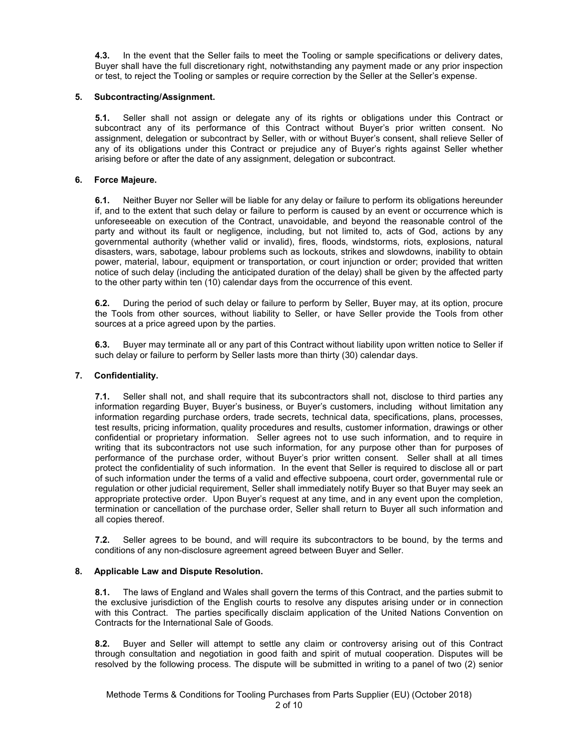**4.3.** In the event that the Seller fails to meet the Tooling or sample specifications or delivery dates, Buyer shall have the full discretionary right, notwithstanding any payment made or any prior inspection or test, to reject the Tooling or samples or require correction by the Seller at the Seller's expense.

## **5. Subcontracting/Assignment.**

**5.1.** Seller shall not assign or delegate any of its rights or obligations under this Contract or subcontract any of its performance of this Contract without Buyer's prior written consent. No assignment, delegation or subcontract by Seller, with or without Buyer's consent, shall relieve Seller of any of its obligations under this Contract or prejudice any of Buyer's rights against Seller whether arising before or after the date of any assignment, delegation or subcontract.

## **6. Force Majeure.**

**6.1.** Neither Buyer nor Seller will be liable for any delay or failure to perform its obligations hereunder if, and to the extent that such delay or failure to perform is caused by an event or occurrence which is unforeseeable on execution of the Contract, unavoidable, and beyond the reasonable control of the party and without its fault or negligence, including, but not limited to, acts of God, actions by any governmental authority (whether valid or invalid), fires, floods, windstorms, riots, explosions, natural disasters, wars, sabotage, labour problems such as lockouts, strikes and slowdowns, inability to obtain power, material, labour, equipment or transportation, or court injunction or order; provided that written notice of such delay (including the anticipated duration of the delay) shall be given by the affected party to the other party within ten (10) calendar days from the occurrence of this event.

**6.2.** During the period of such delay or failure to perform by Seller, Buyer may, at its option, procure the Tools from other sources, without liability to Seller, or have Seller provide the Tools from other sources at a price agreed upon by the parties.

**6.3.** Buyer may terminate all or any part of this Contract without liability upon written notice to Seller if such delay or failure to perform by Seller lasts more than thirty (30) calendar days.

### **7. Confidentiality.**

**7.1.** Seller shall not, and shall require that its subcontractors shall not, disclose to third parties any information regarding Buyer, Buyer's business, or Buyer's customers, including without limitation any information regarding purchase orders, trade secrets, technical data, specifications, plans, processes, test results, pricing information, quality procedures and results, customer information, drawings or other confidential or proprietary information. Seller agrees not to use such information, and to require in writing that its subcontractors not use such information, for any purpose other than for purposes of performance of the purchase order, without Buyer's prior written consent. Seller shall at all times protect the confidentiality of such information. In the event that Seller is required to disclose all or part of such information under the terms of a valid and effective subpoena, court order, governmental rule or regulation or other judicial requirement, Seller shall immediately notify Buyer so that Buyer may seek an appropriate protective order. Upon Buyer's request at any time, and in any event upon the completion, termination or cancellation of the purchase order, Seller shall return to Buyer all such information and all copies thereof.

**7.2.** Seller agrees to be bound, and will require its subcontractors to be bound, by the terms and conditions of any non-disclosure agreement agreed between Buyer and Seller.

### **8. Applicable Law and Dispute Resolution.**

**8.1.** The laws of England and Wales shall govern the terms of this Contract, and the parties submit to the exclusive jurisdiction of the English courts to resolve any disputes arising under or in connection with this Contract. The parties specifically disclaim application of the United Nations Convention on Contracts for the International Sale of Goods.

**8.2.** Buyer and Seller will attempt to settle any claim or controversy arising out of this Contract through consultation and negotiation in good faith and spirit of mutual cooperation. Disputes will be resolved by the following process. The dispute will be submitted in writing to a panel of two (2) senior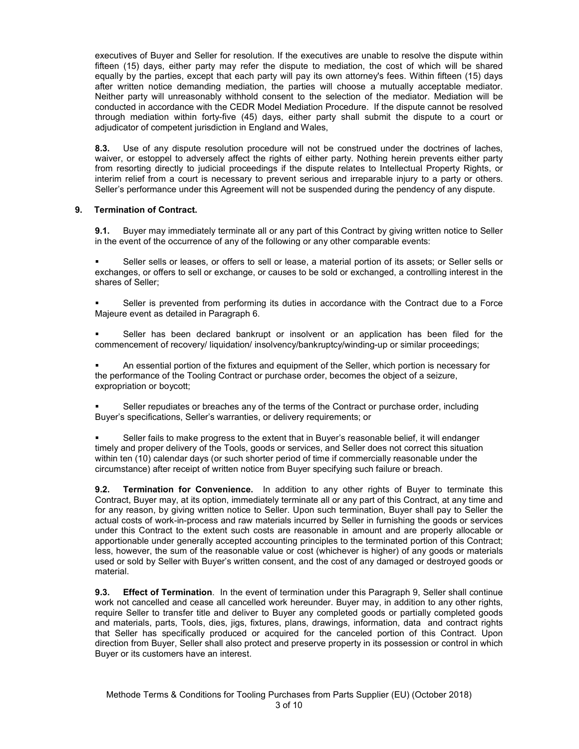executives of Buyer and Seller for resolution. If the executives are unable to resolve the dispute within fifteen (15) days, either party may refer the dispute to mediation, the cost of which will be shared equally by the parties, except that each party will pay its own attorney's fees. Within fifteen (15) days after written notice demanding mediation, the parties will choose a mutually acceptable mediator. Neither party will unreasonably withhold consent to the selection of the mediator. Mediation will be conducted in accordance with the CEDR Model Mediation Procedure. If the dispute cannot be resolved through mediation within forty-five (45) days, either party shall submit the dispute to a court or adjudicator of competent jurisdiction in England and Wales.

**8.3.** Use of any dispute resolution procedure will not be construed under the doctrines of laches, waiver, or estoppel to adversely affect the rights of either party. Nothing herein prevents either party from resorting directly to judicial proceedings if the dispute relates to Intellectual Property Rights, or interim relief from a court is necessary to prevent serious and irreparable injury to a party or others. Seller's performance under this Agreement will not be suspended during the pendency of any dispute.

## **9. Termination of Contract.**

**9.1.** Buyer may immediately terminate all or any part of this Contract by giving written notice to Seller in the event of the occurrence of any of the following or any other comparable events:

 Seller sells or leases, or offers to sell or lease, a material portion of its assets; or Seller sells or exchanges, or offers to sell or exchange, or causes to be sold or exchanged, a controlling interest in the shares of Seller;

 Seller is prevented from performing its duties in accordance with the Contract due to a Force Majeure event as detailed in Paragraph 6.

 Seller has been declared bankrupt or insolvent or an application has been filed for the commencement of recovery/ liquidation/ insolvency/bankruptcy/winding-up or similar proceedings;

 An essential portion of the fixtures and equipment of the Seller, which portion is necessary for the performance of the Tooling Contract or purchase order, becomes the object of a seizure, expropriation or boycott;

 Seller repudiates or breaches any of the terms of the Contract or purchase order, including Buyer's specifications, Seller's warranties, or delivery requirements; or

 Seller fails to make progress to the extent that in Buyer's reasonable belief, it will endanger timely and proper delivery of the Tools, goods or services, and Seller does not correct this situation within ten (10) calendar days (or such shorter period of time if commercially reasonable under the circumstance) after receipt of written notice from Buyer specifying such failure or breach.

**9.2. Termination for Convenience.** In addition to any other rights of Buyer to terminate this Contract, Buyer may, at its option, immediately terminate all or any part of this Contract, at any time and for any reason, by giving written notice to Seller. Upon such termination, Buyer shall pay to Seller the actual costs of work-in-process and raw materials incurred by Seller in furnishing the goods or services under this Contract to the extent such costs are reasonable in amount and are properly allocable or apportionable under generally accepted accounting principles to the terminated portion of this Contract; less, however, the sum of the reasonable value or cost (whichever is higher) of any goods or materials used or sold by Seller with Buyer's written consent, and the cost of any damaged or destroyed goods or material.

**9.3. Effect of Termination**. In the event of termination under this Paragraph 9, Seller shall continue work not cancelled and cease all cancelled work hereunder. Buyer may, in addition to any other rights, require Seller to transfer title and deliver to Buyer any completed goods or partially completed goods and materials, parts, Tools, dies, jigs, fixtures, plans, drawings, information, data and contract rights that Seller has specifically produced or acquired for the canceled portion of this Contract. Upon direction from Buyer, Seller shall also protect and preserve property in its possession or control in which Buyer or its customers have an interest.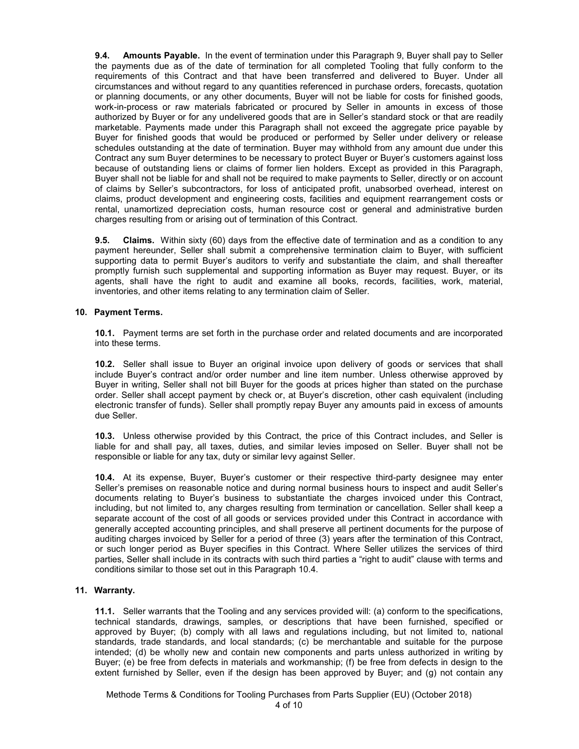**9.4. Amounts Payable.** In the event of termination under this Paragraph 9, Buyer shall pay to Seller the payments due as of the date of termination for all completed Tooling that fully conform to the requirements of this Contract and that have been transferred and delivered to Buyer. Under all circumstances and without regard to any quantities referenced in purchase orders, forecasts, quotation or planning documents, or any other documents, Buyer will not be liable for costs for finished goods, work-in-process or raw materials fabricated or procured by Seller in amounts in excess of those authorized by Buyer or for any undelivered goods that are in Seller's standard stock or that are readily marketable. Payments made under this Paragraph shall not exceed the aggregate price payable by Buyer for finished goods that would be produced or performed by Seller under delivery or release schedules outstanding at the date of termination. Buyer may withhold from any amount due under this Contract any sum Buyer determines to be necessary to protect Buyer or Buyer's customers against loss because of outstanding liens or claims of former lien holders. Except as provided in this Paragraph, Buyer shall not be liable for and shall not be required to make payments to Seller, directly or on account of claims by Seller's subcontractors, for loss of anticipated profit, unabsorbed overhead, interest on claims, product development and engineering costs, facilities and equipment rearrangement costs or rental, unamortized depreciation costs, human resource cost or general and administrative burden charges resulting from or arising out of termination of this Contract.

**9.5. Claims.** Within sixty (60) days from the effective date of termination and as a condition to any payment hereunder, Seller shall submit a comprehensive termination claim to Buyer, with sufficient supporting data to permit Buyer's auditors to verify and substantiate the claim, and shall thereafter promptly furnish such supplemental and supporting information as Buyer may request. Buyer, or its agents, shall have the right to audit and examine all books, records, facilities, work, material, inventories, and other items relating to any termination claim of Seller.

### **10. Payment Terms.**

**10.1.** Payment terms are set forth in the purchase order and related documents and are incorporated into these terms.

**10.2.** Seller shall issue to Buyer an original invoice upon delivery of goods or services that shall include Buyer's contract and/or order number and line item number. Unless otherwise approved by Buyer in writing, Seller shall not bill Buyer for the goods at prices higher than stated on the purchase order. Seller shall accept payment by check or, at Buyer's discretion, other cash equivalent (including electronic transfer of funds). Seller shall promptly repay Buyer any amounts paid in excess of amounts due Seller.

**10.3.** Unless otherwise provided by this Contract, the price of this Contract includes, and Seller is liable for and shall pay, all taxes, duties, and similar levies imposed on Seller. Buyer shall not be responsible or liable for any tax, duty or similar levy against Seller.

**10.4.** At its expense, Buyer, Buyer's customer or their respective third-party designee may enter Seller's premises on reasonable notice and during normal business hours to inspect and audit Seller's documents relating to Buyer's business to substantiate the charges invoiced under this Contract, including, but not limited to, any charges resulting from termination or cancellation. Seller shall keep a separate account of the cost of all goods or services provided under this Contract in accordance with generally accepted accounting principles, and shall preserve all pertinent documents for the purpose of auditing charges invoiced by Seller for a period of three (3) years after the termination of this Contract, or such longer period as Buyer specifies in this Contract. Where Seller utilizes the services of third parties, Seller shall include in its contracts with such third parties a "right to audit" clause with terms and conditions similar to those set out in this Paragraph 10.4.

## **11. Warranty.**

**11.1.** Seller warrants that the Tooling and any services provided will: (a) conform to the specifications, technical standards, drawings, samples, or descriptions that have been furnished, specified or approved by Buyer; (b) comply with all laws and regulations including, but not limited to, national standards, trade standards, and local standards; (c) be merchantable and suitable for the purpose intended; (d) be wholly new and contain new components and parts unless authorized in writing by Buyer; (e) be free from defects in materials and workmanship; (f) be free from defects in design to the extent furnished by Seller, even if the design has been approved by Buyer; and (g) not contain any

Methode Terms & Conditions for Tooling Purchases from Parts Supplier (EU) (October 2018) 4 of 10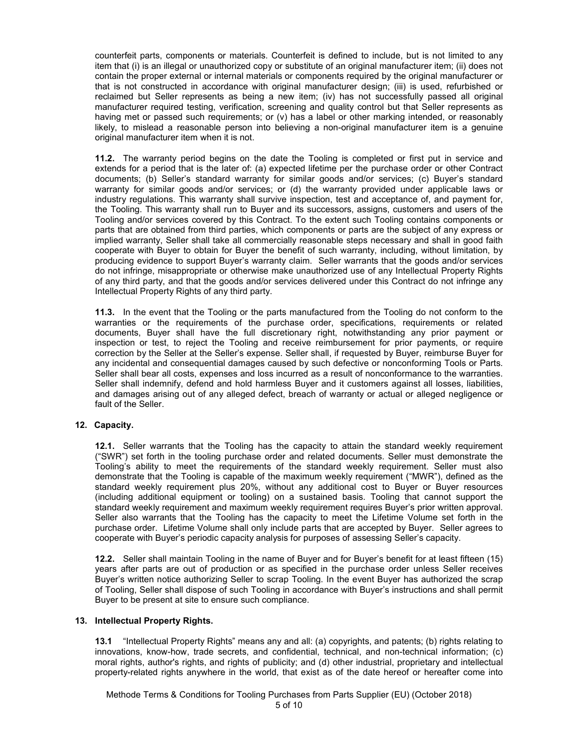counterfeit parts, components or materials. Counterfeit is defined to include, but is not limited to any item that (i) is an illegal or unauthorized copy or substitute of an original manufacturer item; (ii) does not contain the proper external or internal materials or components required by the original manufacturer or that is not constructed in accordance with original manufacturer design; (iii) is used, refurbished or reclaimed but Seller represents as being a new item; (iv) has not successfully passed all original manufacturer required testing, verification, screening and quality control but that Seller represents as having met or passed such requirements; or (v) has a label or other marking intended, or reasonably likely, to mislead a reasonable person into believing a non-original manufacturer item is a genuine original manufacturer item when it is not.

**11.2.** The warranty period begins on the date the Tooling is completed or first put in service and extends for a period that is the later of: (a) expected lifetime per the purchase order or other Contract documents; (b) Seller's standard warranty for similar goods and/or services; (c) Buyer's standard warranty for similar goods and/or services; or (d) the warranty provided under applicable laws or industry regulations. This warranty shall survive inspection, test and acceptance of, and payment for, the Tooling. This warranty shall run to Buyer and its successors, assigns, customers and users of the Tooling and/or services covered by this Contract. To the extent such Tooling contains components or parts that are obtained from third parties, which components or parts are the subject of any express or implied warranty, Seller shall take all commercially reasonable steps necessary and shall in good faith cooperate with Buyer to obtain for Buyer the benefit of such warranty, including, without limitation, by producing evidence to support Buyer's warranty claim. Seller warrants that the goods and/or services do not infringe, misappropriate or otherwise make unauthorized use of any Intellectual Property Rights of any third party, and that the goods and/or services delivered under this Contract do not infringe any Intellectual Property Rights of any third party.

**11.3.** In the event that the Tooling or the parts manufactured from the Tooling do not conform to the warranties or the requirements of the purchase order, specifications, requirements or related documents, Buyer shall have the full discretionary right, notwithstanding any prior payment or inspection or test, to reject the Tooling and receive reimbursement for prior payments, or require correction by the Seller at the Seller's expense. Seller shall, if requested by Buyer, reimburse Buyer for any incidental and consequential damages caused by such defective or nonconforming Tools or Parts. Seller shall bear all costs, expenses and loss incurred as a result of nonconformance to the warranties. Seller shall indemnify, defend and hold harmless Buyer and it customers against all losses, liabilities, and damages arising out of any alleged defect, breach of warranty or actual or alleged negligence or fault of the Seller.

## **12. Capacity.**

**12.1.** Seller warrants that the Tooling has the capacity to attain the standard weekly requirement ("SWR") set forth in the tooling purchase order and related documents. Seller must demonstrate the Tooling's ability to meet the requirements of the standard weekly requirement. Seller must also demonstrate that the Tooling is capable of the maximum weekly requirement ("MWR"), defined as the standard weekly requirement plus 20%, without any additional cost to Buyer or Buyer resources (including additional equipment or tooling) on a sustained basis. Tooling that cannot support the standard weekly requirement and maximum weekly requirement requires Buyer's prior written approval. Seller also warrants that the Tooling has the capacity to meet the Lifetime Volume set forth in the purchase order. Lifetime Volume shall only include parts that are accepted by Buyer. Seller agrees to cooperate with Buyer's periodic capacity analysis for purposes of assessing Seller's capacity.

**12.2.** Seller shall maintain Tooling in the name of Buyer and for Buyer's benefit for at least fifteen (15) years after parts are out of production or as specified in the purchase order unless Seller receives Buyer's written notice authorizing Seller to scrap Tooling. In the event Buyer has authorized the scrap of Tooling, Seller shall dispose of such Tooling in accordance with Buyer's instructions and shall permit Buyer to be present at site to ensure such compliance.

### **13. Intellectual Property Rights.**

**13.1** "Intellectual Property Rights" means any and all: (a) copyrights, and patents; (b) rights relating to innovations, know-how, trade secrets, and confidential, technical, and non-technical information; (c) moral rights, author's rights, and rights of publicity; and (d) other industrial, proprietary and intellectual property-related rights anywhere in the world, that exist as of the date hereof or hereafter come into

Methode Terms & Conditions for Tooling Purchases from Parts Supplier (EU) (October 2018) 5 of 10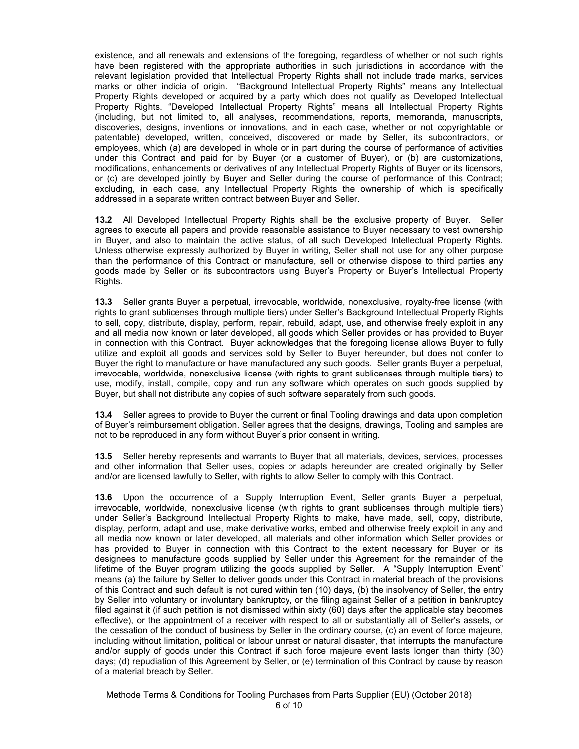existence, and all renewals and extensions of the foregoing, regardless of whether or not such rights have been registered with the appropriate authorities in such jurisdictions in accordance with the relevant legislation provided that Intellectual Property Rights shall not include trade marks, services marks or other indicia of origin. "Background Intellectual Property Rights" means any Intellectual Property Rights developed or acquired by a party which does not qualify as Developed Intellectual Property Rights. "Developed Intellectual Property Rights" means all Intellectual Property Rights (including, but not limited to, all analyses, recommendations, reports, memoranda, manuscripts, discoveries, designs, inventions or innovations, and in each case, whether or not copyrightable or patentable) developed, written, conceived, discovered or made by Seller, its subcontractors, or employees, which (a) are developed in whole or in part during the course of performance of activities under this Contract and paid for by Buyer (or a customer of Buyer), or (b) are customizations, modifications, enhancements or derivatives of any Intellectual Property Rights of Buyer or its licensors, or (c) are developed jointly by Buyer and Seller during the course of performance of this Contract; excluding, in each case, any Intellectual Property Rights the ownership of which is specifically addressed in a separate written contract between Buyer and Seller.

**13.2** All Developed Intellectual Property Rights shall be the exclusive property of Buyer. Seller agrees to execute all papers and provide reasonable assistance to Buyer necessary to vest ownership in Buyer, and also to maintain the active status, of all such Developed Intellectual Property Rights. Unless otherwise expressly authorized by Buyer in writing, Seller shall not use for any other purpose than the performance of this Contract or manufacture, sell or otherwise dispose to third parties any goods made by Seller or its subcontractors using Buyer's Property or Buyer's Intellectual Property Rights.

**13.3** Seller grants Buyer a perpetual, irrevocable, worldwide, nonexclusive, royalty-free license (with rights to grant sublicenses through multiple tiers) under Seller's Background Intellectual Property Rights to sell, copy, distribute, display, perform, repair, rebuild, adapt, use, and otherwise freely exploit in any and all media now known or later developed, all goods which Seller provides or has provided to Buyer in connection with this Contract. Buyer acknowledges that the foregoing license allows Buyer to fully utilize and exploit all goods and services sold by Seller to Buyer hereunder, but does not confer to Buyer the right to manufacture or have manufactured any such goods. Seller grants Buyer a perpetual, irrevocable, worldwide, nonexclusive license (with rights to grant sublicenses through multiple tiers) to use, modify, install, compile, copy and run any software which operates on such goods supplied by Buyer, but shall not distribute any copies of such software separately from such goods.

**13.4** Seller agrees to provide to Buyer the current or final Tooling drawings and data upon completion of Buyer's reimbursement obligation. Seller agrees that the designs, drawings, Tooling and samples are not to be reproduced in any form without Buyer's prior consent in writing.

**13.5** Seller hereby represents and warrants to Buyer that all materials, devices, services, processes and other information that Seller uses, copies or adapts hereunder are created originally by Seller and/or are licensed lawfully to Seller, with rights to allow Seller to comply with this Contract.

**13.6** Upon the occurrence of a Supply Interruption Event, Seller grants Buyer a perpetual, irrevocable, worldwide, nonexclusive license (with rights to grant sublicenses through multiple tiers) under Seller's Background Intellectual Property Rights to make, have made, sell, copy, distribute, display, perform, adapt and use, make derivative works, embed and otherwise freely exploit in any and all media now known or later developed, all materials and other information which Seller provides or has provided to Buyer in connection with this Contract to the extent necessary for Buyer or its designees to manufacture goods supplied by Seller under this Agreement for the remainder of the lifetime of the Buyer program utilizing the goods supplied by Seller. A "Supply Interruption Event" means (a) the failure by Seller to deliver goods under this Contract in material breach of the provisions of this Contract and such default is not cured within ten (10) days, (b) the insolvency of Seller, the entry by Seller into voluntary or involuntary bankruptcy, or the filing against Seller of a petition in bankruptcy filed against it (if such petition is not dismissed within sixty (60) days after the applicable stay becomes effective), or the appointment of a receiver with respect to all or substantially all of Seller's assets, or the cessation of the conduct of business by Seller in the ordinary course, (c) an event of force majeure, including without limitation, political or labour unrest or natural disaster, that interrupts the manufacture and/or supply of goods under this Contract if such force majeure event lasts longer than thirty (30) days; (d) repudiation of this Agreement by Seller, or (e) termination of this Contract by cause by reason of a material breach by Seller.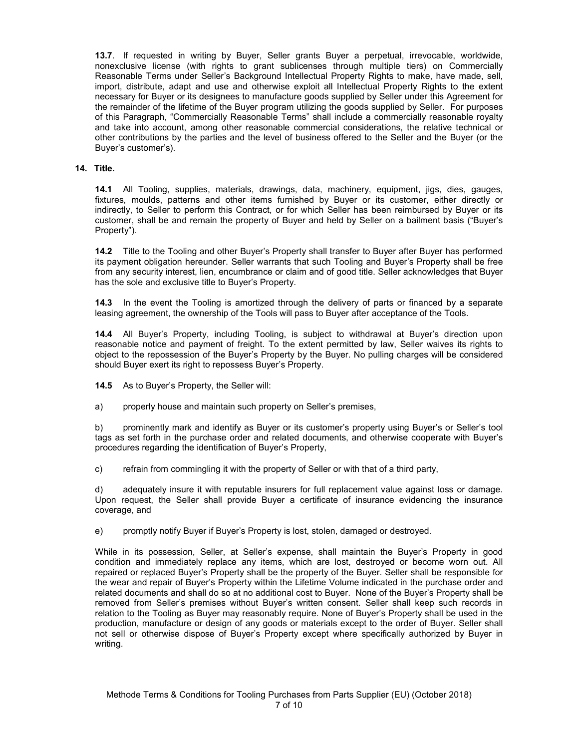**13.7**. If requested in writing by Buyer, Seller grants Buyer a perpetual, irrevocable, worldwide, nonexclusive license (with rights to grant sublicenses through multiple tiers) on Commercially Reasonable Terms under Seller's Background Intellectual Property Rights to make, have made, sell, import, distribute, adapt and use and otherwise exploit all Intellectual Property Rights to the extent necessary for Buyer or its designees to manufacture goods supplied by Seller under this Agreement for the remainder of the lifetime of the Buyer program utilizing the goods supplied by Seller. For purposes of this Paragraph, "Commercially Reasonable Terms" shall include a commercially reasonable royalty and take into account, among other reasonable commercial considerations, the relative technical or other contributions by the parties and the level of business offered to the Seller and the Buyer (or the Buyer's customer's).

### **14. Title.**

**14.1** All Tooling, supplies, materials, drawings, data, machinery, equipment, jigs, dies, gauges, fixtures, moulds, patterns and other items furnished by Buyer or its customer, either directly or indirectly, to Seller to perform this Contract, or for which Seller has been reimbursed by Buyer or its customer, shall be and remain the property of Buyer and held by Seller on a bailment basis ("Buyer's Property").

**14.2** Title to the Tooling and other Buyer's Property shall transfer to Buyer after Buyer has performed its payment obligation hereunder. Seller warrants that such Tooling and Buyer's Property shall be free from any security interest, lien, encumbrance or claim and of good title. Seller acknowledges that Buyer has the sole and exclusive title to Buyer's Property.

**14.3** In the event the Tooling is amortized through the delivery of parts or financed by a separate leasing agreement, the ownership of the Tools will pass to Buyer after acceptance of the Tools.

**14.4** All Buyer's Property, including Tooling, is subject to withdrawal at Buyer's direction upon reasonable notice and payment of freight. To the extent permitted by law, Seller waives its rights to object to the repossession of the Buyer's Property by the Buyer. No pulling charges will be considered should Buyer exert its right to repossess Buyer's Property.

**14.5** As to Buyer's Property, the Seller will:

a) properly house and maintain such property on Seller's premises,

b) prominently mark and identify as Buyer or its customer's property using Buyer's or Seller's tool tags as set forth in the purchase order and related documents, and otherwise cooperate with Buyer's procedures regarding the identification of Buyer's Property,

c) refrain from commingling it with the property of Seller or with that of a third party,

d) adequately insure it with reputable insurers for full replacement value against loss or damage. Upon request, the Seller shall provide Buyer a certificate of insurance evidencing the insurance coverage, and

e) promptly notify Buyer if Buyer's Property is lost, stolen, damaged or destroyed.

While in its possession, Seller, at Seller's expense, shall maintain the Buyer's Property in good condition and immediately replace any items, which are lost, destroyed or become worn out. All repaired or replaced Buyer's Property shall be the property of the Buyer. Seller shall be responsible for the wear and repair of Buyer's Property within the Lifetime Volume indicated in the purchase order and related documents and shall do so at no additional cost to Buyer. None of the Buyer's Property shall be removed from Seller's premises without Buyer's written consent. Seller shall keep such records in relation to the Tooling as Buyer may reasonably require. None of Buyer's Property shall be used in the production, manufacture or design of any goods or materials except to the order of Buyer. Seller shall not sell or otherwise dispose of Buyer's Property except where specifically authorized by Buyer in writing.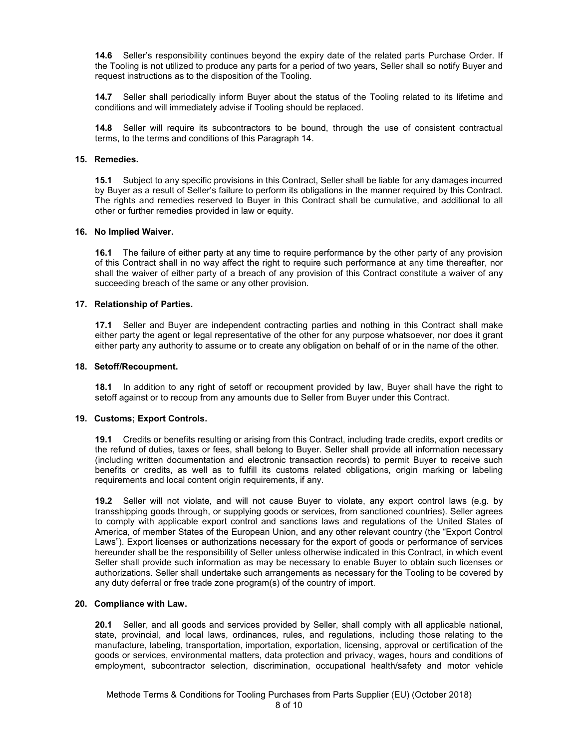**14.6** Seller's responsibility continues beyond the expiry date of the related parts Purchase Order. If the Tooling is not utilized to produce any parts for a period of two years, Seller shall so notify Buyer and request instructions as to the disposition of the Tooling.

**14.7** Seller shall periodically inform Buyer about the status of the Tooling related to its lifetime and conditions and will immediately advise if Tooling should be replaced.

**14.8** Seller will require its subcontractors to be bound, through the use of consistent contractual terms, to the terms and conditions of this Paragraph 14.

### **15. Remedies.**

**15.1** Subject to any specific provisions in this Contract, Seller shall be liable for any damages incurred by Buyer as a result of Seller's failure to perform its obligations in the manner required by this Contract. The rights and remedies reserved to Buyer in this Contract shall be cumulative, and additional to all other or further remedies provided in law or equity.

### **16. No Implied Waiver.**

**16.1** The failure of either party at any time to require performance by the other party of any provision of this Contract shall in no way affect the right to require such performance at any time thereafter, nor shall the waiver of either party of a breach of any provision of this Contract constitute a waiver of any succeeding breach of the same or any other provision.

### **17. Relationship of Parties.**

**17.1** Seller and Buyer are independent contracting parties and nothing in this Contract shall make either party the agent or legal representative of the other for any purpose whatsoever, nor does it grant either party any authority to assume or to create any obligation on behalf of or in the name of the other.

### **18. Setoff/Recoupment.**

**18.1** In addition to any right of setoff or recoupment provided by law, Buyer shall have the right to setoff against or to recoup from any amounts due to Seller from Buyer under this Contract.

### **19. Customs; Export Controls.**

**19.1** Credits or benefits resulting or arising from this Contract, including trade credits, export credits or the refund of duties, taxes or fees, shall belong to Buyer. Seller shall provide all information necessary (including written documentation and electronic transaction records) to permit Buyer to receive such benefits or credits, as well as to fulfill its customs related obligations, origin marking or labeling requirements and local content origin requirements, if any.

**19.2** Seller will not violate, and will not cause Buyer to violate, any export control laws (e.g. by transshipping goods through, or supplying goods or services, from sanctioned countries). Seller agrees to comply with applicable export control and sanctions laws and regulations of the United States of America, of member States of the European Union, and any other relevant country (the "Export Control Laws"). Export licenses or authorizations necessary for the export of goods or performance of services hereunder shall be the responsibility of Seller unless otherwise indicated in this Contract, in which event Seller shall provide such information as may be necessary to enable Buyer to obtain such licenses or authorizations. Seller shall undertake such arrangements as necessary for the Tooling to be covered by any duty deferral or free trade zone program(s) of the country of import.

### **20. Compliance with Law.**

**20.1** Seller, and all goods and services provided by Seller, shall comply with all applicable national, state, provincial, and local laws, ordinances, rules, and regulations, including those relating to the manufacture, labeling, transportation, importation, exportation, licensing, approval or certification of the goods or services, environmental matters, data protection and privacy, wages, hours and conditions of employment, subcontractor selection, discrimination, occupational health/safety and motor vehicle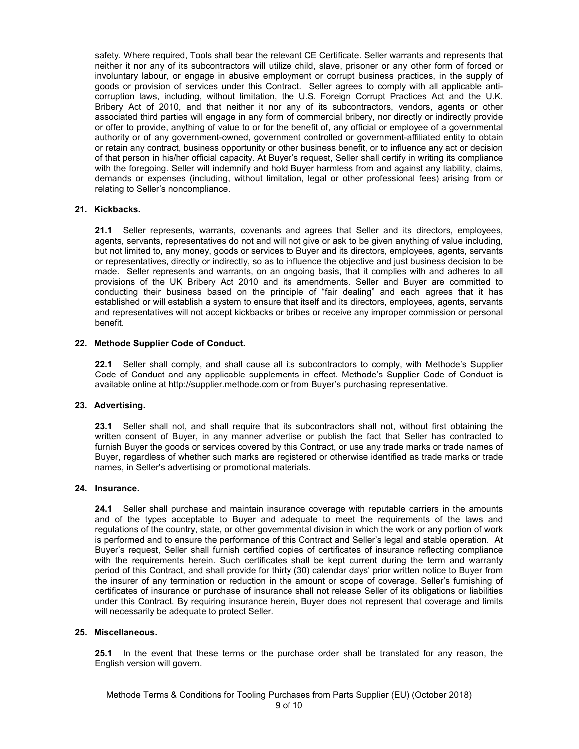safety. Where required, Tools shall bear the relevant CE Certificate. Seller warrants and represents that neither it nor any of its subcontractors will utilize child, slave, prisoner or any other form of forced or involuntary labour, or engage in abusive employment or corrupt business practices, in the supply of goods or provision of services under this Contract. Seller agrees to comply with all applicable anticorruption laws, including, without limitation, the U.S. Foreign Corrupt Practices Act and the U.K. Bribery Act of 2010, and that neither it nor any of its subcontractors, vendors, agents or other associated third parties will engage in any form of commercial bribery, nor directly or indirectly provide or offer to provide, anything of value to or for the benefit of, any official or employee of a governmental authority or of any government-owned, government controlled or government-affiliated entity to obtain or retain any contract, business opportunity or other business benefit, or to influence any act or decision of that person in his/her official capacity. At Buyer's request, Seller shall certify in writing its compliance with the foregoing. Seller will indemnify and hold Buyer harmless from and against any liability, claims, demands or expenses (including, without limitation, legal or other professional fees) arising from or relating to Seller's noncompliance.

## **21. Kickbacks.**

**21.1** Seller represents, warrants, covenants and agrees that Seller and its directors, employees, agents, servants, representatives do not and will not give or ask to be given anything of value including, but not limited to, any money, goods or services to Buyer and its directors, employees, agents, servants or representatives, directly or indirectly, so as to influence the objective and just business decision to be made. Seller represents and warrants, on an ongoing basis, that it complies with and adheres to all provisions of the UK Bribery Act 2010 and its amendments. Seller and Buyer are committed to conducting their business based on the principle of "fair dealing" and each agrees that it has established or will establish a system to ensure that itself and its directors, employees, agents, servants and representatives will not accept kickbacks or bribes or receive any improper commission or personal benefit.

## **22. Methode Supplier Code of Conduct.**

**22.1** Seller shall comply, and shall cause all its subcontractors to comply, with Methode's Supplier Code of Conduct and any applicable supplements in effect. Methode's Supplier Code of Conduct is available online at http://supplier.methode.com or from Buyer's purchasing representative.

## **23. Advertising.**

**23.1** Seller shall not, and shall require that its subcontractors shall not, without first obtaining the written consent of Buyer, in any manner advertise or publish the fact that Seller has contracted to furnish Buyer the goods or services covered by this Contract, or use any trade marks or trade names of Buyer, regardless of whether such marks are registered or otherwise identified as trade marks or trade names, in Seller's advertising or promotional materials.

### **24. Insurance.**

**24.1** Seller shall purchase and maintain insurance coverage with reputable carriers in the amounts and of the types acceptable to Buyer and adequate to meet the requirements of the laws and regulations of the country, state, or other governmental division in which the work or any portion of work is performed and to ensure the performance of this Contract and Seller's legal and stable operation. At Buyer's request, Seller shall furnish certified copies of certificates of insurance reflecting compliance with the requirements herein. Such certificates shall be kept current during the term and warranty period of this Contract, and shall provide for thirty (30) calendar days' prior written notice to Buyer from the insurer of any termination or reduction in the amount or scope of coverage. Seller's furnishing of certificates of insurance or purchase of insurance shall not release Seller of its obligations or liabilities under this Contract. By requiring insurance herein, Buyer does not represent that coverage and limits will necessarily be adequate to protect Seller.

### **25. Miscellaneous.**

**25.1** In the event that these terms or the purchase order shall be translated for any reason, the English version will govern.